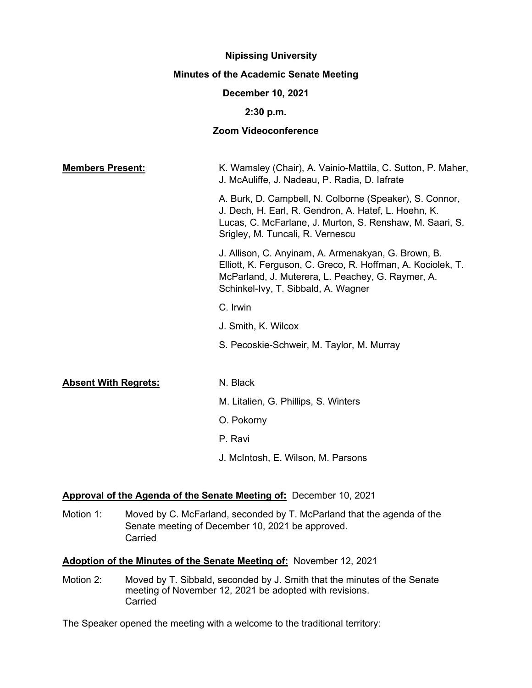# **Nipissing University Minutes of the Academic Senate Meeting**

# **December 10, 2021**

## **2:30 p.m.**

# **Zoom Videoconference**

| <b>Members Present:</b>     | K. Wamsley (Chair), A. Vainio-Mattila, C. Sutton, P. Maher,<br>J. McAuliffe, J. Nadeau, P. Radia, D. lafrate                                                                                                    |
|-----------------------------|-----------------------------------------------------------------------------------------------------------------------------------------------------------------------------------------------------------------|
|                             | A. Burk, D. Campbell, N. Colborne (Speaker), S. Connor,<br>J. Dech, H. Earl, R. Gendron, A. Hatef, L. Hoehn, K.<br>Lucas, C. McFarlane, J. Murton, S. Renshaw, M. Saari, S.<br>Srigley, M. Tuncali, R. Vernescu |
|                             | J. Allison, C. Anyinam, A. Armenakyan, G. Brown, B.<br>Elliott, K. Ferguson, C. Greco, R. Hoffman, A. Kociolek, T.<br>McParland, J. Muterera, L. Peachey, G. Raymer, A.<br>Schinkel-Ivy, T. Sibbald, A. Wagner  |
|                             | C. Irwin                                                                                                                                                                                                        |
|                             | J. Smith, K. Wilcox                                                                                                                                                                                             |
|                             | S. Pecoskie-Schweir, M. Taylor, M. Murray                                                                                                                                                                       |
| <b>Absent With Regrets:</b> | N. Black                                                                                                                                                                                                        |
|                             | M. Litalien, G. Phillips, S. Winters                                                                                                                                                                            |
|                             | O. Pokorny                                                                                                                                                                                                      |
|                             | P. Ravi                                                                                                                                                                                                         |
|                             | J. McIntosh, E. Wilson, M. Parsons                                                                                                                                                                              |
|                             |                                                                                                                                                                                                                 |

# **Approval of the Agenda of the Senate Meeting of:** December 10, 2021

Motion 1: Moved by C. McFarland, seconded by T. McParland that the agenda of the Senate meeting of December 10, 2021 be approved. Carried

# **Adoption of the Minutes of the Senate Meeting of:** November 12, 2021

Motion 2: Moved by T. Sibbald, seconded by J. Smith that the minutes of the Senate meeting of November 12, 2021 be adopted with revisions. **Carried** 

The Speaker opened the meeting with a welcome to the traditional territory: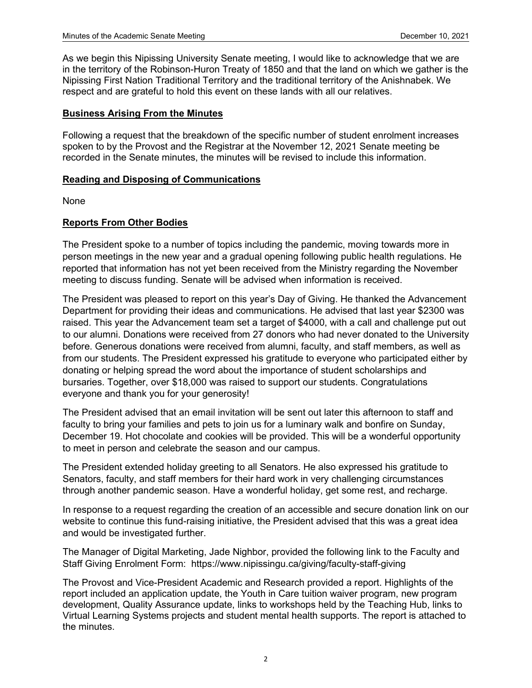As we begin this Nipissing University Senate meeting, I would like to acknowledge that we are in the territory of the Robinson-Huron Treaty of 1850 and that the land on which we gather is the Nipissing First Nation Traditional Territory and the traditional territory of the Anishnabek. We respect and are grateful to hold this event on these lands with all our relatives.

# **Business Arising From the Minutes**

Following a request that the breakdown of the specific number of student enrolment increases spoken to by the Provost and the Registrar at the November 12, 2021 Senate meeting be recorded in the Senate minutes, the minutes will be revised to include this information.

# **Reading and Disposing of Communications**

None

# **Reports From Other Bodies**

The President spoke to a number of topics including the pandemic, moving towards more in person meetings in the new year and a gradual opening following public health regulations. He reported that information has not yet been received from the Ministry regarding the November meeting to discuss funding. Senate will be advised when information is received.

The President was pleased to report on this year's Day of Giving. He thanked the Advancement Department for providing their ideas and communications. He advised that last year \$2300 was raised. This year the Advancement team set a target of \$4000, with a call and challenge put out to our alumni. Donations were received from 27 donors who had never donated to the University before. Generous donations were received from alumni, faculty, and staff members, as well as from our students. The President expressed his gratitude to everyone who participated either by donating or helping spread the word about the importance of student scholarships and bursaries. Together, over \$18,000 was raised to support our students. Congratulations everyone and thank you for your generosity!

The President advised that an email invitation will be sent out later this afternoon to staff and faculty to bring your families and pets to join us for a luminary walk and bonfire on Sunday, December 19. Hot chocolate and cookies will be provided. This will be a wonderful opportunity to meet in person and celebrate the season and our campus.

The President extended holiday greeting to all Senators. He also expressed his gratitude to Senators, faculty, and staff members for their hard work in very challenging circumstances through another pandemic season. Have a wonderful holiday, get some rest, and recharge.

In response to a request regarding the creation of an accessible and secure donation link on our website to continue this fund-raising initiative, the President advised that this was a great idea and would be investigated further.

The Manager of Digital Marketing, Jade Nighbor, provided the following link to the Faculty and Staff Giving Enrolment Form: https://www.nipissingu.ca/giving/faculty-staff-giving

The Provost and Vice-President Academic and Research provided a report. Highlights of the report included an application update, the Youth in Care tuition waiver program, new program development, Quality Assurance update, links to workshops held by the Teaching Hub, links to Virtual Learning Systems projects and student mental health supports. The report is attached to the minutes.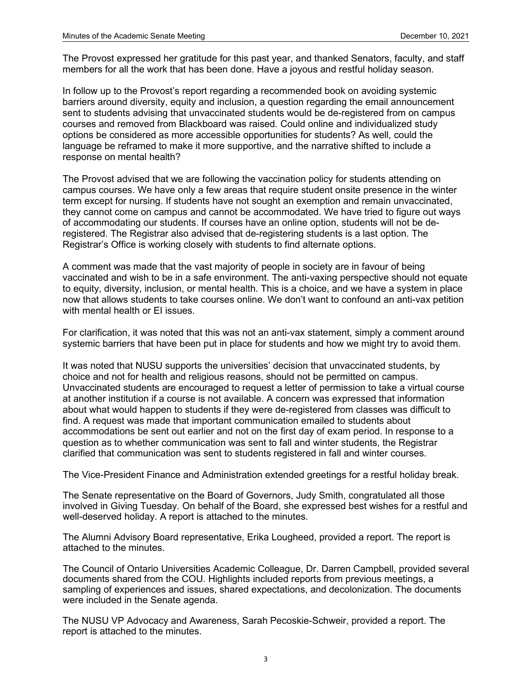The Provost expressed her gratitude for this past year, and thanked Senators, faculty, and staff members for all the work that has been done. Have a joyous and restful holiday season.

In follow up to the Provost's report regarding a recommended book on avoiding systemic barriers around diversity, equity and inclusion, a question regarding the email announcement sent to students advising that unvaccinated students would be de-registered from on campus courses and removed from Blackboard was raised. Could online and individualized study options be considered as more accessible opportunities for students? As well, could the language be reframed to make it more supportive, and the narrative shifted to include a response on mental health?

The Provost advised that we are following the vaccination policy for students attending on campus courses. We have only a few areas that require student onsite presence in the winter term except for nursing. If students have not sought an exemption and remain unvaccinated, they cannot come on campus and cannot be accommodated. We have tried to figure out ways of accommodating our students. If courses have an online option, students will not be deregistered. The Registrar also advised that de-registering students is a last option. The Registrar's Office is working closely with students to find alternate options.

A comment was made that the vast majority of people in society are in favour of being vaccinated and wish to be in a safe environment. The anti-vaxing perspective should not equate to equity, diversity, inclusion, or mental health. This is a choice, and we have a system in place now that allows students to take courses online. We don't want to confound an anti-vax petition with mental health or EI issues.

For clarification, it was noted that this was not an anti-vax statement, simply a comment around systemic barriers that have been put in place for students and how we might try to avoid them.

It was noted that NUSU supports the universities' decision that unvaccinated students, by choice and not for health and religious reasons, should not be permitted on campus. Unvaccinated students are encouraged to request a letter of permission to take a virtual course at another institution if a course is not available. A concern was expressed that information about what would happen to students if they were de-registered from classes was difficult to find. A request was made that important communication emailed to students about accommodations be sent out earlier and not on the first day of exam period. In response to a question as to whether communication was sent to fall and winter students, the Registrar clarified that communication was sent to students registered in fall and winter courses.

The Vice-President Finance and Administration extended greetings for a restful holiday break.

The Senate representative on the Board of Governors, Judy Smith, congratulated all those involved in Giving Tuesday. On behalf of the Board, she expressed best wishes for a restful and well-deserved holiday. A report is attached to the minutes.

The Alumni Advisory Board representative, Erika Lougheed, provided a report. The report is attached to the minutes.

The Council of Ontario Universities Academic Colleague, Dr. Darren Campbell, provided several documents shared from the COU. Highlights included reports from previous meetings, a sampling of experiences and issues, shared expectations, and decolonization. The documents were included in the Senate agenda.

The NUSU VP Advocacy and Awareness, Sarah Pecoskie-Schweir, provided a report. The report is attached to the minutes.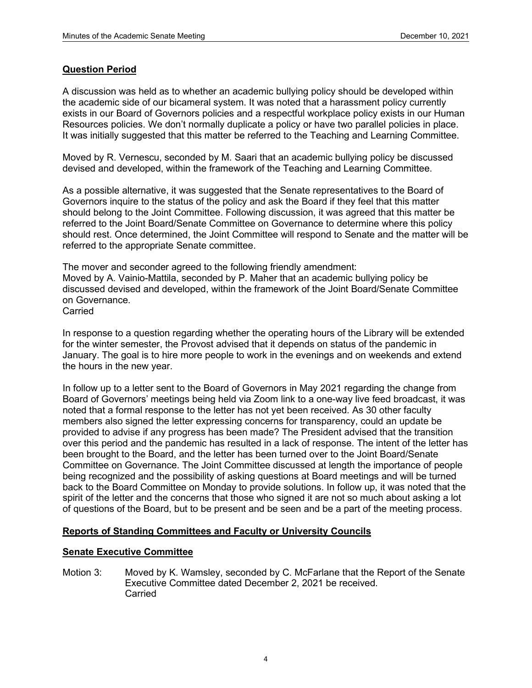# **Question Period**

A discussion was held as to whether an academic bullying policy should be developed within the academic side of our bicameral system. It was noted that a harassment policy currently exists in our Board of Governors policies and a respectful workplace policy exists in our Human Resources policies. We don't normally duplicate a policy or have two parallel policies in place. It was initially suggested that this matter be referred to the Teaching and Learning Committee.

Moved by R. Vernescu, seconded by M. Saari that an academic bullying policy be discussed devised and developed, within the framework of the Teaching and Learning Committee.

As a possible alternative, it was suggested that the Senate representatives to the Board of Governors inquire to the status of the policy and ask the Board if they feel that this matter should belong to the Joint Committee. Following discussion, it was agreed that this matter be referred to the Joint Board/Senate Committee on Governance to determine where this policy should rest. Once determined, the Joint Committee will respond to Senate and the matter will be referred to the appropriate Senate committee.

The mover and seconder agreed to the following friendly amendment: Moved by A. Vainio-Mattila, seconded by P. Maher that an academic bullying policy be discussed devised and developed, within the framework of the Joint Board/Senate Committee on Governance. Carried

In response to a question regarding whether the operating hours of the Library will be extended for the winter semester, the Provost advised that it depends on status of the pandemic in January. The goal is to hire more people to work in the evenings and on weekends and extend the hours in the new year.

In follow up to a letter sent to the Board of Governors in May 2021 regarding the change from Board of Governors' meetings being held via Zoom link to a one-way live feed broadcast, it was noted that a formal response to the letter has not yet been received. As 30 other faculty members also signed the letter expressing concerns for transparency, could an update be provided to advise if any progress has been made? The President advised that the transition over this period and the pandemic has resulted in a lack of response. The intent of the letter has been brought to the Board, and the letter has been turned over to the Joint Board/Senate Committee on Governance. The Joint Committee discussed at length the importance of people being recognized and the possibility of asking questions at Board meetings and will be turned back to the Board Committee on Monday to provide solutions. In follow up, it was noted that the spirit of the letter and the concerns that those who signed it are not so much about asking a lot of questions of the Board, but to be present and be seen and be a part of the meeting process.

# **Reports of Standing Committees and Faculty or University Councils**

# **Senate Executive Committee**

Motion 3: Moved by K. Wamsley, seconded by C. McFarlane that the Report of the Senate Executive Committee dated December 2, 2021 be received. **Carried**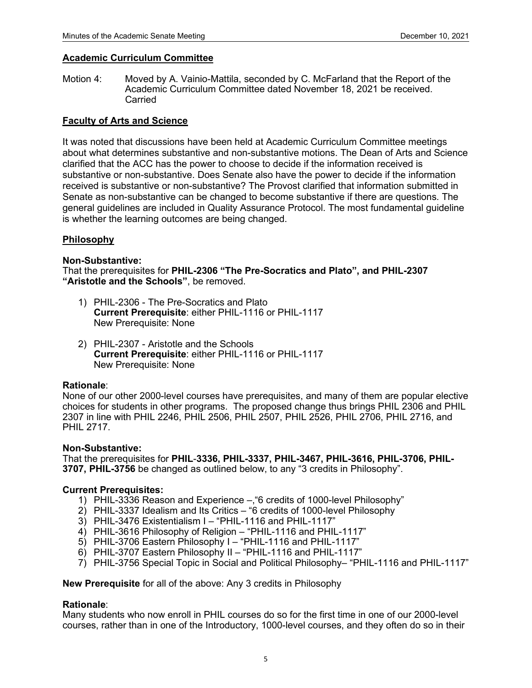## **Academic Curriculum Committee**

Motion 4: Moved by A. Vainio-Mattila, seconded by C. McFarland that the Report of the Academic Curriculum Committee dated November 18, 2021 be received. Carried

## **Faculty of Arts and Science**

It was noted that discussions have been held at Academic Curriculum Committee meetings about what determines substantive and non-substantive motions. The Dean of Arts and Science clarified that the ACC has the power to choose to decide if the information received is substantive or non-substantive. Does Senate also have the power to decide if the information received is substantive or non-substantive? The Provost clarified that information submitted in Senate as non-substantive can be changed to become substantive if there are questions. The general guidelines are included in Quality Assurance Protocol. The most fundamental guideline is whether the learning outcomes are being changed.

## **Philosophy**

## **Non-Substantive:**

That the prerequisites for **PHIL-2306 "The Pre-Socratics and Plato", and PHIL-2307 "Aristotle and the Schools"**, be removed.

- 1) PHIL-2306 The Pre-Socratics and Plato **Current Prerequisite**: either PHIL-1116 or PHIL-1117 New Prerequisite: None
- 2) PHIL-2307 Aristotle and the Schools **Current Prerequisite**: either PHIL-1116 or PHIL-1117 New Prerequisite: None

## **Rationale**:

None of our other 2000-level courses have prerequisites, and many of them are popular elective choices for students in other programs. The proposed change thus brings PHIL 2306 and PHIL 2307 in line with PHIL 2246, PHIL 2506, PHIL 2507, PHIL 2526, PHIL 2706, PHIL 2716, and PHIL 2717.

## **Non-Substantive:**

That the prerequisites for **PHIL**-**3336, PHIL-3337, PHIL-3467, PHIL-3616, PHIL-3706, PHIL-3707, PHIL-3756** be changed as outlined below, to any "3 credits in Philosophy".

## **Current Prerequisites:**

- 1) PHIL-3336 Reason and Experience –,"6 credits of 1000-level Philosophy"
- 2) PHIL-3337 Idealism and Its Critics "6 credits of 1000-level Philosophy
- 3) PHIL-3476 Existentialism I "PHIL-1116 and PHIL-1117"
- 4) PHIL-3616 Philosophy of Religion "PHIL-1116 and PHIL-1117"
- 5) PHIL-3706 Eastern Philosophy I "PHIL-1116 and PHIL-1117"
- 6) PHIL-3707 Eastern Philosophy II "PHIL-1116 and PHIL-1117"
- 7) PHIL-3756 Special Topic in Social and Political Philosophy– "PHIL-1116 and PHIL-1117"

**New Prerequisite** for all of the above: Any 3 credits in Philosophy

## **Rationale**:

Many students who now enroll in PHIL courses do so for the first time in one of our 2000-level courses, rather than in one of the Introductory, 1000-level courses, and they often do so in their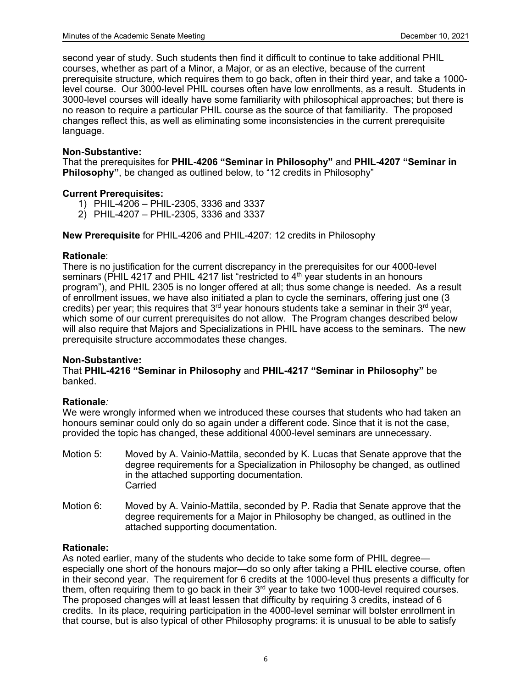second year of study. Such students then find it difficult to continue to take additional PHIL courses, whether as part of a Minor, a Major, or as an elective, because of the current prerequisite structure, which requires them to go back, often in their third year, and take a 1000 level course. Our 3000-level PHIL courses often have low enrollments, as a result. Students in 3000-level courses will ideally have some familiarity with philosophical approaches; but there is no reason to require a particular PHIL course as the source of that familiarity. The proposed changes reflect this, as well as eliminating some inconsistencies in the current prerequisite language.

## **Non-Substantive:**

That the prerequisites for **PHIL-4206 "Seminar in Philosophy"** and **PHIL-4207 "Seminar in Philosophy"**, be changed as outlined below, to "12 credits in Philosophy"

## **Current Prerequisites:**

- 1) PHIL-4206 PHIL-2305, 3336 and 3337
- 2) PHIL-4207 PHIL-2305, 3336 and 3337

**New Prerequisite** for PHIL-4206 and PHIL-4207: 12 credits in Philosophy

## **Rationale**:

There is no justification for the current discrepancy in the prerequisites for our 4000-level seminars (PHIL 4217 and PHIL 4217 list "restricted to  $4<sup>th</sup>$  year students in an honours program"), and PHIL 2305 is no longer offered at all; thus some change is needed. As a result of enrollment issues, we have also initiated a plan to cycle the seminars, offering just one (3 credits) per year; this requires that  $3<sup>rd</sup>$  year honours students take a seminar in their  $3<sup>rd</sup>$  year, which some of our current prerequisites do not allow. The Program changes described below will also require that Majors and Specializations in PHIL have access to the seminars. The new prerequisite structure accommodates these changes.

## **Non-Substantive:**

That **PHIL-4216 "Seminar in Philosophy** and **PHIL-4217 "Seminar in Philosophy"** be banked.

## **Rationale***:*

We were wrongly informed when we introduced these courses that students who had taken an honours seminar could only do so again under a different code. Since that it is not the case, provided the topic has changed, these additional 4000-level seminars are unnecessary.

- Motion 5: Moved by A. Vainio-Mattila, seconded by K. Lucas that Senate approve that the degree requirements for a Specialization in Philosophy be changed, as outlined in the attached supporting documentation. **Carried**
- Motion 6: Moved by A. Vainio-Mattila, seconded by P. Radia that Senate approve that the degree requirements for a Major in Philosophy be changed, as outlined in the attached supporting documentation.

## **Rationale:**

As noted earlier, many of the students who decide to take some form of PHIL degree especially one short of the honours major—do so only after taking a PHIL elective course, often in their second year. The requirement for 6 credits at the 1000-level thus presents a difficulty for them, often requiring them to go back in their 3<sup>rd</sup> year to take two 1000-level required courses. The proposed changes will at least lessen that difficulty by requiring 3 credits, instead of 6 credits. In its place, requiring participation in the 4000-level seminar will bolster enrollment in that course, but is also typical of other Philosophy programs: it is unusual to be able to satisfy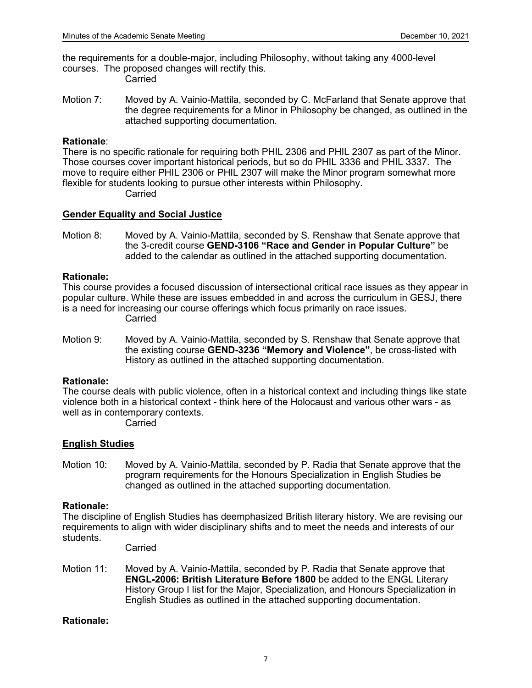the requirements for a double-major, including Philosophy, without taking any 4000-level courses. The proposed changes will rectify this. Carried

Motion 7: Moved by A. Vainio-Mattila, seconded by C. McFarland that Senate approve that the degree requirements for a Minor in Philosophy be changed, as outlined in the attached supporting documentation.

## **Rationale**:

There is no specific rationale for requiring both PHIL 2306 and PHIL 2307 as part of the Minor. Those courses cover important historical periods, but so do PHIL 3336 and PHIL 3337. The move to require either PHIL 2306 or PHIL 2307 will make the Minor program somewhat more flexible for students looking to pursue other interests within Philosophy. Carried

## **Gender Equality and Social Justice**

Motion 8: Moved by A. Vainio-Mattila, seconded by S. Renshaw that Senate approve that the 3-credit course **GEND-3106 "Race and Gender in Popular Culture"** be added to the calendar as outlined in the attached supporting documentation.

## **Rationale:**

This course provides a focused discussion of intersectional critical race issues as they appear in popular culture. While these are issues embedded in and across the curriculum in GESJ, there is a need for increasing our course offerings which focus primarily on race issues. Carried

Motion 9: Moved by A. Vainio-Mattila, seconded by S. Renshaw that Senate approve that the existing course **GEND-3236 "Memory and Violence"**, be cross-listed with History as outlined in the attached supporting documentation.

## **Rationale:**

The course deals with public violence, often in a historical context and including things like state violence both in a historical context - think here of the Holocaust and various other wars - as well as in contemporary contexts.

Carried

# **English Studies**

Motion 10: Moved by A. Vainio-Mattila, seconded by P. Radia that Senate approve that the program requirements for the Honours Specialization in English Studies be changed as outlined in the attached supporting documentation.

## **Rationale:**

The discipline of English Studies has deemphasized British literary history. We are revising our requirements to align with wider disciplinary shifts and to meet the needs and interests of our students.

Carried

Motion 11: Moved by A. Vainio-Mattila, seconded by P. Radia that Senate approve that **ENGL-2006: British Literature Before 1800** be added to the ENGL Literary History Group I list for the Major, Specialization, and Honours Specialization in English Studies as outlined in the attached supporting documentation.

# **Rationale:**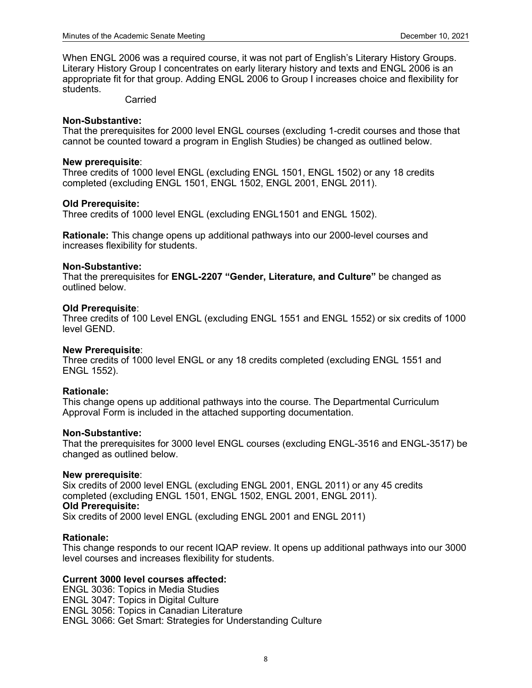When ENGL 2006 was a required course, it was not part of English's Literary History Groups. Literary History Group I concentrates on early literary history and texts and ENGL 2006 is an appropriate fit for that group. Adding ENGL 2006 to Group I increases choice and flexibility for students.

## Carried

#### **Non-Substantive:**

That the prerequisites for 2000 level ENGL courses (excluding 1-credit courses and those that cannot be counted toward a program in English Studies) be changed as outlined below.

#### **New prerequisite**:

Three credits of 1000 level ENGL (excluding ENGL 1501, ENGL 1502) or any 18 credits completed (excluding ENGL 1501, ENGL 1502, ENGL 2001, ENGL 2011).

#### **Old Prerequisite:**

Three credits of 1000 level ENGL (excluding ENGL1501 and ENGL 1502).

**Rationale:** This change opens up additional pathways into our 2000-level courses and increases flexibility for students.

#### **Non-Substantive:**

That the prerequisites for **ENGL-2207 "Gender, Literature, and Culture"** be changed as outlined below.

#### **Old Prerequisite**:

Three credits of 100 Level ENGL (excluding ENGL 1551 and ENGL 1552) or six credits of 1000 level GEND.

#### **New Prerequisite**:

Three credits of 1000 level ENGL or any 18 credits completed (excluding ENGL 1551 and ENGL 1552).

## **Rationale:**

This change opens up additional pathways into the course. The Departmental Curriculum Approval Form is included in the attached supporting documentation.

#### **Non-Substantive:**

That the prerequisites for 3000 level ENGL courses (excluding ENGL-3516 and ENGL-3517) be changed as outlined below.

## **New prerequisite**:

Six credits of 2000 level ENGL (excluding ENGL 2001, ENGL 2011) or any 45 credits completed (excluding ENGL 1501, ENGL 1502, ENGL 2001, ENGL 2011). **Old Prerequisite:** Six credits of 2000 level ENGL (excluding ENGL 2001 and ENGL 2011)

#### **Rationale:**

This change responds to our recent IQAP review. It opens up additional pathways into our 3000 level courses and increases flexibility for students.

## **Current 3000 level courses affected:**

ENGL 3036: Topics in Media Studies ENGL 3047: Topics in Digital Culture ENGL 3056: Topics in Canadian Literature ENGL 3066: Get Smart: Strategies for Understanding Culture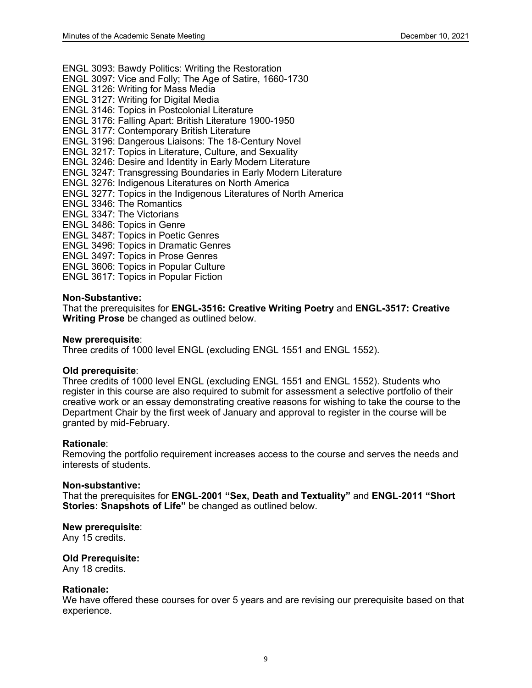ENGL 3093: Bawdy Politics: Writing the Restoration

- ENGL 3097: Vice and Folly; The Age of Satire, 1660-1730
- ENGL 3126: Writing for Mass Media
- ENGL 3127: Writing for Digital Media
- ENGL 3146: Topics in Postcolonial Literature
- ENGL 3176: Falling Apart: British Literature 1900-1950
- ENGL 3177: Contemporary British Literature
- ENGL 3196: Dangerous Liaisons: The 18-Century Novel
- ENGL 3217: Topics in Literature, Culture, and Sexuality
- ENGL 3246: Desire and Identity in Early Modern Literature
- ENGL 3247: Transgressing Boundaries in Early Modern Literature
- ENGL 3276: Indigenous Literatures on North America
- ENGL 3277: Topics in the Indigenous Literatures of North America
- ENGL 3346: The Romantics
- ENGL 3347: The Victorians
- ENGL 3486: Topics in Genre
- ENGL 3487: Topics in Poetic Genres
- ENGL 3496: Topics in Dramatic Genres
- ENGL 3497: Topics in Prose Genres
- ENGL 3606: Topics in Popular Culture
- ENGL 3617: Topics in Popular Fiction

#### **Non-Substantive:**

That the prerequisites for **ENGL-3516: Creative Writing Poetry** and **ENGL-3517: Creative Writing Prose** be changed as outlined below.

#### **New prerequisite**:

Three credits of 1000 level ENGL (excluding ENGL 1551 and ENGL 1552).

#### **Old prerequisite**:

Three credits of 1000 level ENGL (excluding ENGL 1551 and ENGL 1552). Students who register in this course are also required to submit for assessment a selective portfolio of their creative work or an essay demonstrating creative reasons for wishing to take the course to the Department Chair by the first week of January and approval to register in the course will be granted by mid-February.

#### **Rationale**:

Removing the portfolio requirement increases access to the course and serves the needs and interests of students.

## **Non-substantive:**

That the prerequisites for **ENGL-2001 "Sex, Death and Textuality"** and **ENGL-2011 "Short Stories: Snapshots of Life"** be changed as outlined below.

#### **New prerequisite**:

Any 15 credits.

## **Old Prerequisite:**

Any 18 credits.

#### **Rationale:**

We have offered these courses for over 5 years and are revising our prerequisite based on that experience.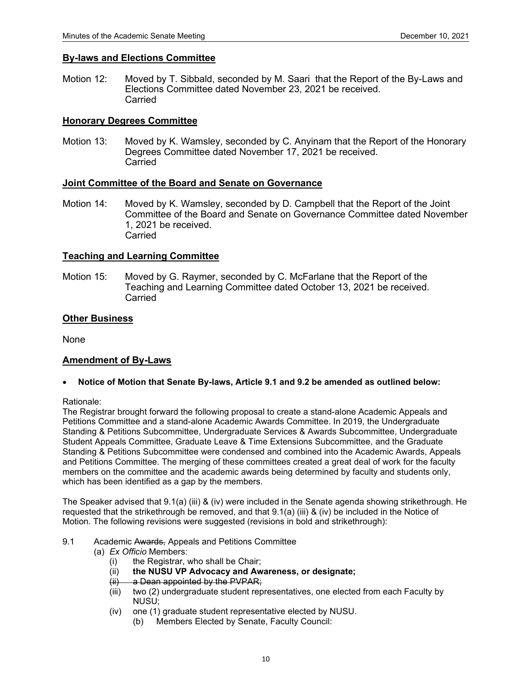#### **By-laws and Elections Committee**

Motion 12: Moved by T. Sibbald, seconded by M. Saari that the Report of the By-Laws and Elections Committee dated November 23, 2021 be received. Carried

## **Honorary Degrees Committee**

Motion 13: Moved by K. Wamsley, seconded by C. Anyinam that the Report of the Honorary Degrees Committee dated November 17, 2021 be received. Carried

#### **Joint Committee of the Board and Senate on Governance**

Motion 14: Moved by K. Wamsley, seconded by D. Campbell that the Report of the Joint Committee of the Board and Senate on Governance Committee dated November 1, 2021 be received. Carried

#### **Teaching and Learning Committee**

Motion 15: Moved by G. Raymer, seconded by C. McFarlane that the Report of the Teaching and Learning Committee dated October 13, 2021 be received. Carried

#### **Other Business**

None

## **Amendment of By-Laws**

• **Notice of Motion that Senate By-laws, Article 9.1 and 9.2 be amended as outlined below:**

Rationale:

The Registrar brought forward the following proposal to create a stand-alone Academic Appeals and Petitions Committee and a stand-alone Academic Awards Committee. In 2019, the Undergraduate Standing & Petitions Subcommittee, Undergraduate Services & Awards Subcommittee, Undergraduate Student Appeals Committee, Graduate Leave & Time Extensions Subcommittee, and the Graduate Standing & Petitions Subcommittee were condensed and combined into the Academic Awards, Appeals and Petitions Committee. The merging of these committees created a great deal of work for the faculty members on the committee and the academic awards being determined by faculty and students only, which has been identified as a gap by the members.

The Speaker advised that 9.1(a) (iii) & (iv) were included in the Senate agenda showing strikethrough. He requested that the strikethrough be removed, and that 9.1(a) (iii) & (iv) be included in the Notice of Motion. The following revisions were suggested (revisions in bold and strikethrough):

- 9.1 Academic Awards, Appeals and Petitions Committee
	- (a) *Ex Officio* Members:
		- (i) the Registrar, who shall be Chair;
		- (ii) **the NUSU VP Advocacy and Awareness, or designate;**
		- (ii) a Dean appointed by the PVPAR;
		- (iii) two (2) undergraduate student representatives, one elected from each Faculty by NUSU;
		- (iv) one (1) graduate student representative elected by NUSU.
			- (b) Members Elected by Senate, Faculty Council: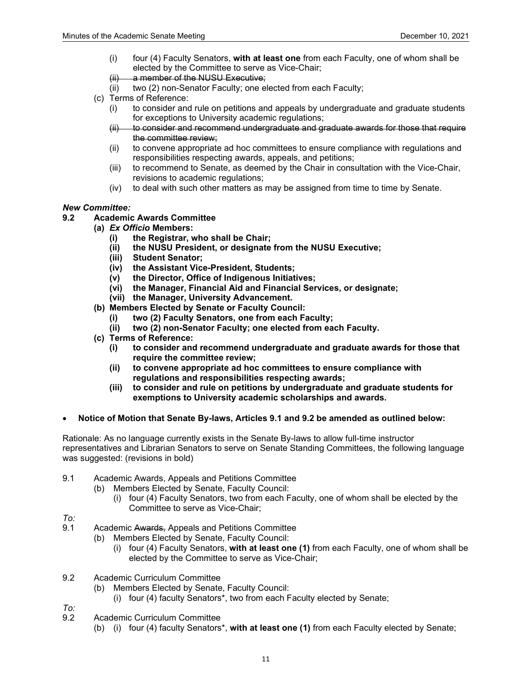- (i) four (4) Faculty Senators, **with at least one** from each Faculty, one of whom shall be elected by the Committee to serve as Vice-Chair;
- (ii) a member of the NUSU Executive;
- (ii) two (2) non-Senator Faculty; one elected from each Faculty;
- (c) Terms of Reference:
	- (i) to consider and rule on petitions and appeals by undergraduate and graduate students for exceptions to University academic regulations;
	- (ii) to consider and recommend undergraduate and graduate awards for those that require the committee review;
	- (ii) to convene appropriate ad hoc committees to ensure compliance with regulations and responsibilities respecting awards, appeals, and petitions;
	- (iii) to recommend to Senate, as deemed by the Chair in consultation with the Vice-Chair, revisions to academic regulations;
	- (iv) to deal with such other matters as may be assigned from time to time by Senate.

#### *New Committee:*

#### **9.2 Academic Awards Committee**

- **(a)** *Ex Officio* **Members:**
	- **(i) the Registrar, who shall be Chair;**
	- **(ii) the NUSU President, or designate from the NUSU Executive;**
	- **(iii) Student Senator;**
	- **(iv) the Assistant Vice-President, Students;**
	- **(v) the Director, Office of Indigenous Initiatives;**
	- **(vi) the Manager, Financial Aid and Financial Services, or designate;**
	- **(vii) the Manager, University Advancement.**
- **(b) Members Elected by Senate or Faculty Council:** 
	- **(i) two (2) Faculty Senators, one from each Faculty;**
	- **(ii) two (2) non-Senator Faculty; one elected from each Faculty.**
- **(c) Terms of Reference:**
	- **(i) to consider and recommend undergraduate and graduate awards for those that require the committee review;**
	- **(ii) to convene appropriate ad hoc committees to ensure compliance with regulations and responsibilities respecting awards;**
	- **(iii) to consider and rule on petitions by undergraduate and graduate students for exemptions to University academic scholarships and awards.**
- **Notice of Motion that Senate By-laws, Articles 9.1 and 9.2 be amended as outlined below:**

Rationale: As no language currently exists in the Senate By-laws to allow full-time instructor representatives and Librarian Senators to serve on Senate Standing Committees, the following language was suggested: (revisions in bold)

- 9.1 Academic Awards, Appeals and Petitions Committee
	- (b) Members Elected by Senate, Faculty Council:
		- (i) four (4) Faculty Senators, two from each Faculty, one of whom shall be elected by the Committee to serve as Vice-Chair;
- *To:*
- Academic Awards, Appeals and Petitions Committee
	- (b) Members Elected by Senate, Faculty Council:
		- (i) four (4) Faculty Senators, **with at least one (1)** from each Faculty, one of whom shall be elected by the Committee to serve as Vice-Chair;
- 9.2 Academic Curriculum Committee
	- (b) Members Elected by Senate, Faculty Council:
		- (i) four (4) faculty Senators\*, two from each Faculty elected by Senate;
- *To:*
- 9.2 Academic Curriculum Committee
	- (b) (i) four (4) faculty Senators\*, **with at least one (1)** from each Faculty elected by Senate;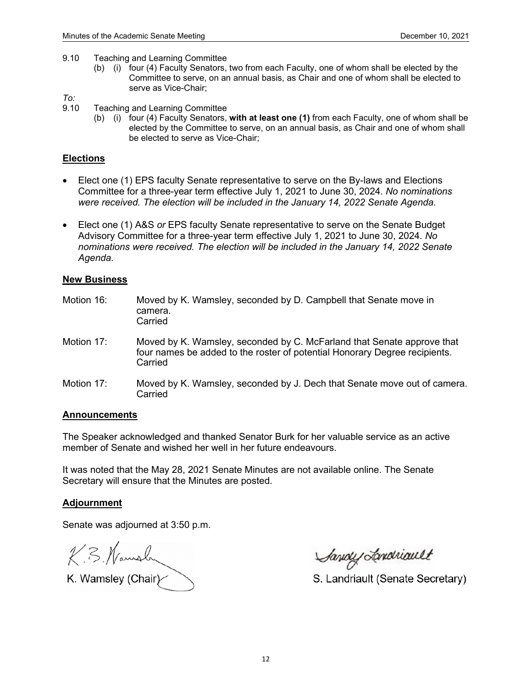- 9.10 Teaching and Learning Committee
	- (b) (i) four (4) Faculty Senators, two from each Faculty, one of whom shall be elected by the Committee to serve, on an annual basis, as Chair and one of whom shall be elected to serve as Vice-Chair;

- *To:* 9.10 Teaching and Learning Committee
	- (b) (i) four (4) Faculty Senators, **with at least one (1)** from each Faculty, one of whom shall be elected by the Committee to serve, on an annual basis, as Chair and one of whom shall be elected to serve as Vice-Chair;

#### **Elections**

- Elect one (1) EPS faculty Senate representative to serve on the By-laws and Elections Committee for a three-year term effective July 1, 2021 to June 30, 2024. *No nominations were received. The election will be included in the January 14, 2022 Senate Agenda.*
- Elect one (1) A&S *or* EPS faculty Senate representative to serve on the Senate Budget Advisory Committee for a three-year term effective July 1, 2021 to June 30, 2024. *No nominations were received. The election will be included in the January 14, 2022 Senate Agenda.*

#### **New Business**

Motion 16: Moved by K. Wamsley, seconded by D. Campbell that Senate move in camera. **Carried** Motion 17: Moved by K. Wamsley, seconded by C. McFarland that Senate approve that four names be added to the roster of potential Honorary Degree recipients. **Carried** Motion 17: Moved by K. Wamsley, seconded by J. Dech that Senate move out of camera. **Carried** 

#### **Announcements**

The Speaker acknowledged and thanked Senator Burk for her valuable service as an active member of Senate and wished her well in her future endeavours.

It was noted that the May 28, 2021 Senate Minutes are not available online. The Senate Secretary will ensure that the Minutes are posted.

## **Adjournment**

Senate was adjourned at 3:50 p.m.

K. B. Namsh

K. Wamsley (Chair $\sim$ 

Savoy Londriault

S. Landriault (Senate Secretary)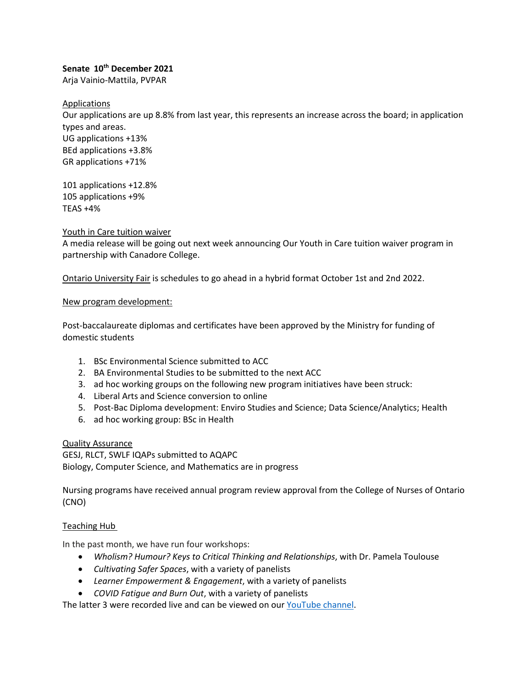## **Senate 10th December 2021**

Arja Vainio-Mattila, PVPAR

Applications

Our applications are up 8.8% from last year, this represents an increase across the board; in application types and areas. UG applications +13% BEd applications +3.8% GR applications +71%

101 applications +12.8% 105 applications +9% TEAS +4%

#### Youth in Care tuition waiver

A media release will be going out next week announcing Our Youth in Care tuition waiver program in partnership with Canadore College.

Ontario University Fair is schedules to go ahead in a hybrid format October 1st and 2nd 2022.

#### New program development:

Post-baccalaureate diplomas and certificates have been approved by the Ministry for funding of domestic students

- 1. BSc Environmental Science submitted to ACC
- 2. BA Environmental Studies to be submitted to the next ACC
- 3. ad hoc working groups on the following new program initiatives have been struck:
- 4. Liberal Arts and Science conversion to online
- 5. Post-Bac Diploma development: Enviro Studies and Science; Data Science/Analytics; Health
- 6. ad hoc working group: BSc in Health

Quality Assurance

GESJ, RLCT, SWLF IQAPs submitted to AQAPC Biology, Computer Science, and Mathematics are in progress

Nursing programs have received annual program review approval from the College of Nurses of Ontario (CNO)

## Teaching Hub

In the past month, we have run four workshops:

- *Wholism? Humour? Keys to Critical Thinking and Relationships*, with Dr. Pamela Toulouse
- *Cultivating Safer Spaces*, with a variety of panelists
- *Learner Empowerment & Engagement*, with a variety of panelists
- *COVID Fatigue and Burn Out*, with a variety of panelists

The latter 3 were recorded live and can be viewed on our [YouTube channel.](https://www.youtube.com/channel/UCawLcDd9clh27b1z55Gcawg/videos)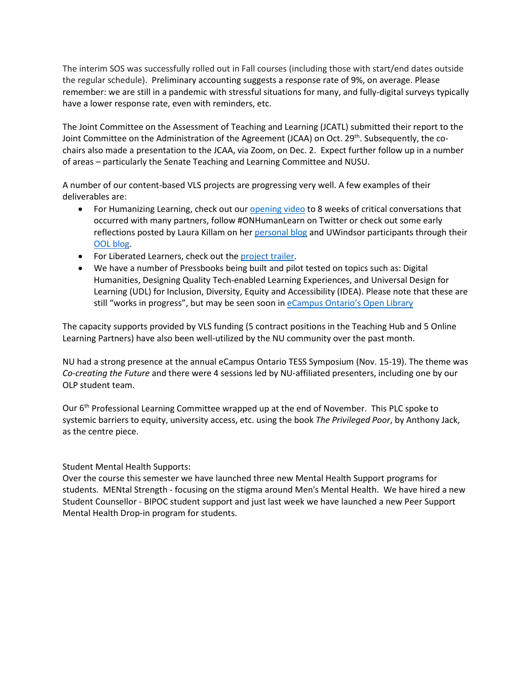The interim SOS was successfully rolled out in Fall courses (including those with start/end dates outside the regular schedule). Preliminary accounting suggests a response rate of 9%, on average. Please remember: we are still in a pandemic with stressful situations for many, and fully-digital surveys typically have a lower response rate, even with reminders, etc.

The Joint Committee on the Assessment of Teaching and Learning (JCATL) submitted their report to the Joint Committee on the Administration of the Agreement (JCAA) on Oct. 29<sup>th</sup>. Subsequently, the cochairs also made a presentation to the JCAA, via Zoom, on Dec. 2. Expect further follow up in a number of areas – particularly the Senate Teaching and Learning Committee and NUSU.

A number of our content-based VLS projects are progressing very well. A few examples of their deliverables are:

- For Humanizing Learning, check out our **opening video** to 8 weeks of critical conversations that occurred with many partners, follow #ONHumanLearn on Twitter or check out some early reflections posted by Laura Killam on her [personal blog](http://insights.nursekillam.com/reflect/now-what-unlearning/) and UWindsor participants through their [OOL blog.](https://uwinopenlearn.ca/blog/category/onhumanlearn/)
- For Liberated Learners, check out the [project trailer.](https://www.youtube.com/watch?v=2j6wl7x7ghQ)
- We have a number of Pressbooks being built and pilot tested on topics such as: Digital Humanities, Designing Quality Tech-enabled Learning Experiences, and Universal Design for Learning (UDL) for Inclusion, Diversity, Equity and Accessibility (IDEA). Please note that these are still "works in progress", but may be seen soon i[n eCampus Ontario's Open Library](https://ecampusontario.pressbooks.pub/)

The capacity supports provided by VLS funding (5 contract positions in the Teaching Hub and 5 Online Learning Partners) have also been well-utilized by the NU community over the past month.

NU had a strong presence at the annual eCampus Ontario TESS Symposium (Nov. 15-19). The theme was *Co-creating the Future* and there were 4 sessions led by NU-affiliated presenters, including one by our OLP student team.

Our 6<sup>th</sup> Professional Learning Committee wrapped up at the end of November. This PLC spoke to systemic barriers to equity, university access, etc. using the book *The Privileged Poor*, by Anthony Jack, as the centre piece.

## Student Mental Health Supports:

Over the course this semester we have launched three new Mental Health Support programs for students. MENtal Strength - focusing on the stigma around Men's Mental Health. We have hired a new Student Counsellor - BIPOC student support and just last week we have launched a new Peer Support Mental Health Drop-in program for students.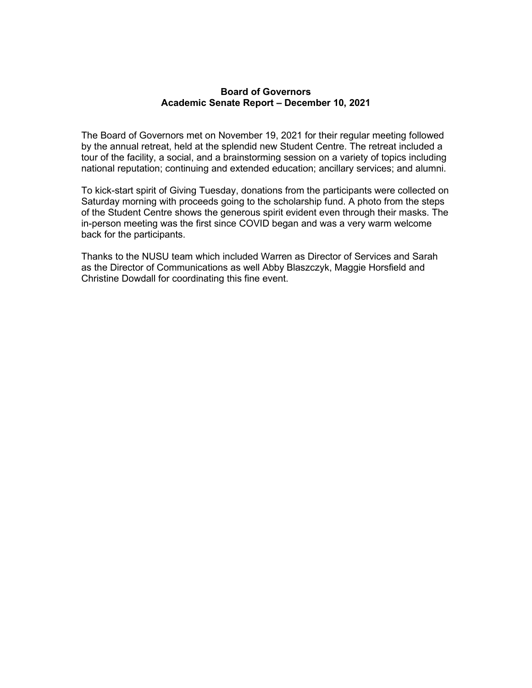## **Board of Governors Academic Senate Report – December 10, 2021**

The Board of Governors met on November 19, 2021 for their regular meeting followed by the annual retreat, held at the splendid new Student Centre. The retreat included a tour of the facility, a social, and a brainstorming session on a variety of topics including national reputation; continuing and extended education; ancillary services; and alumni.

To kick-start spirit of Giving Tuesday, donations from the participants were collected on Saturday morning with proceeds going to the scholarship fund. A photo from the steps of the Student Centre shows the generous spirit evident even through their masks. The in-person meeting was the first since COVID began and was a very warm welcome back for the participants.

Thanks to the NUSU team which included Warren as Director of Services and Sarah as the Director of Communications as well Abby Blaszczyk, Maggie Horsfield and Christine Dowdall for coordinating this fine event.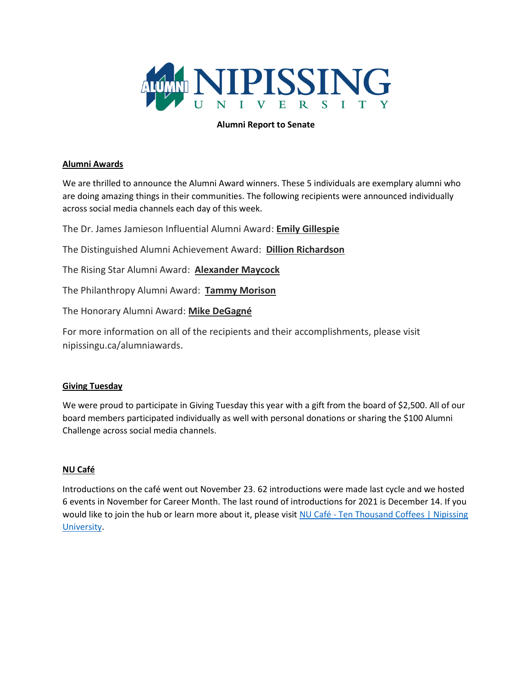

## **Alumni Report to Senate**

## **Alumni Awards**

We are thrilled to announce the Alumni Award winners. These 5 individuals are exemplary alumni who are doing amazing things in their communities. The following recipients were announced individually across social media channels each day of this week.

The Dr. James Jamieson Influential Alumni Award: **Emily Gillespie**

The Distinguished Alumni Achievement Award: **Dillion Richardson**

The Rising Star Alumni Award: **Alexander Maycock**

The Philanthropy Alumni Award: **Tammy Morison**

The Honorary Alumni Award: **Mike DeGagné**

For more information on all of the recipients and their accomplishments, please visit nipissingu.ca/alumniawards.

## **Giving Tuesday**

We were proud to participate in Giving Tuesday this year with a gift from the board of \$2,500. All of our board members participated individually as well with personal donations or sharing the \$100 Alumni Challenge across social media channels.

## **NU Café**

Introductions on the café went out November 23. 62 introductions were made last cycle and we hosted 6 events in November for Career Month. The last round of introductions for 2021 is December 14. If you would like to join the hub or learn more about it, please visit NU Café - Ten Thousand Coffees | Nipissing [University.](https://www.nipissingu.ca/about/nu-cafe)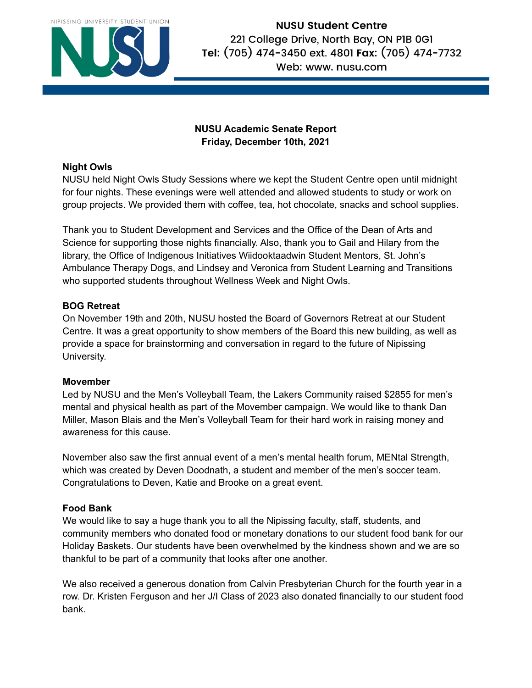

# **NUSU Student Centre** 221 College Drive, North Bay, ON PIB 0G1 Tel: (705) 474-3450 ext. 4801 Fax: (705) 474-7732 Web: www. nusu.com

# **NUSU Academic Senate Report Friday, December 10th, 2021**

# **Night Owls**

NUSU held Night Owls Study Sessions where we kept the Student Centre open until midnight for four nights. These evenings were well attended and allowed students to study or work on group projects. We provided them with coffee, tea, hot chocolate, snacks and school supplies.

Thank you to Student Development and Services and the Office of the Dean of Arts and Science for supporting those nights financially. Also, thank you to Gail and Hilary from the library, the Office of Indigenous Initiatives Wiidooktaadwin Student Mentors, St. John's Ambulance Therapy Dogs, and Lindsey and Veronica from Student Learning and Transitions who supported students throughout Wellness Week and Night Owls.

# **BOG Retreat**

On November 19th and 20th, NUSU hosted the Board of Governors Retreat at our Student Centre. It was a great opportunity to show members of the Board this new building, as well as provide a space for brainstorming and conversation in regard to the future of Nipissing University.

# **Movember**

Led by NUSU and the Men's Volleyball Team, the Lakers Community raised \$2855 for men's mental and physical health as part of the Movember campaign. We would like to thank Dan Miller, Mason Blais and the Men's Volleyball Team for their hard work in raising money and awareness for this cause.

November also saw the first annual event of a men's mental health forum, MENtal Strength, which was created by Deven Doodnath, a student and member of the men's soccer team. Congratulations to Deven, Katie and Brooke on a great event.

# **Food Bank**

We would like to say a huge thank you to all the Nipissing faculty, staff, students, and community members who donated food or monetary donations to our student food bank for our Holiday Baskets. Our students have been overwhelmed by the kindness shown and we are so thankful to be part of a community that looks after one another.

We also received a generous donation from Calvin Presbyterian Church for the fourth year in a row. Dr. Kristen Ferguson and her J/I Class of 2023 also donated financially to our student food bank.